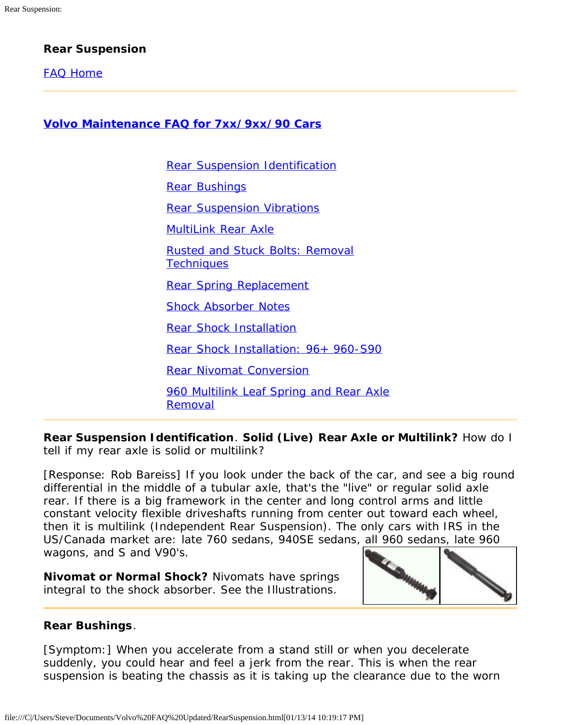# **Rear Suspension**

[FAQ Home](file:///C|/Users/Steve/Documents/Volvo%20FAQ%20Updated/FAQSummary1.html)

**[Volvo Maintenance FAQ for 7xx/9xx/90 Cars](file:///C|/Users/Steve/Documents/Volvo%20FAQ%20Updated/FAQSummary1.html)**

[Rear Suspension Identification](#page-0-0) [Rear Bushings](#page-0-1) [Rear Suspension Vibrations](#page-1-0) [MultiLink Rear Axle](#page-2-0) [Rusted and Stuck Bolts: Removal](#page-2-1) **[Techniques](#page-2-1)** [Rear Spring Replacement](#page-2-2) [Shock Absorber Notes](#page-3-0) [Rear Shock Installation](#page-5-0) [Rear Shock Installation: 96+ 960-S90](#page-7-0) [Rear Nivomat Conversion](#page-8-0) [960 Multilink Leaf Spring and Rear Axle](#page-8-1) [Removal](#page-8-1)

<span id="page-0-0"></span>**Rear Suspension Identification**. **Solid (Live) Rear Axle or Multilink?** How do I tell if my rear axle is solid or multilink?

[Response: Rob Bareiss] If you look under the back of the car, and see a big round differential in the middle of a tubular axle, that's the "live" or regular solid axle rear. If there is a big framework in the center and long control arms and little constant velocity flexible driveshafts running from center out toward each wheel, then it is multilink (Independent Rear Suspension). The only cars with IRS in the US/Canada market are: late 760 sedans, 940SE sedans, all 960 sedans, late 960 wagons, and S and V90's.

**Nivomat or Normal Shock?** Nivomats have springs integral to the shock absorber. See the Illustrations.



### <span id="page-0-1"></span>**Rear Bushings**.

[Symptom:] When you accelerate from a stand still or when you decelerate suddenly, you could hear and feel a jerk from the rear. This is when the rear suspension is beating the chassis as it is taking up the clearance due to the worn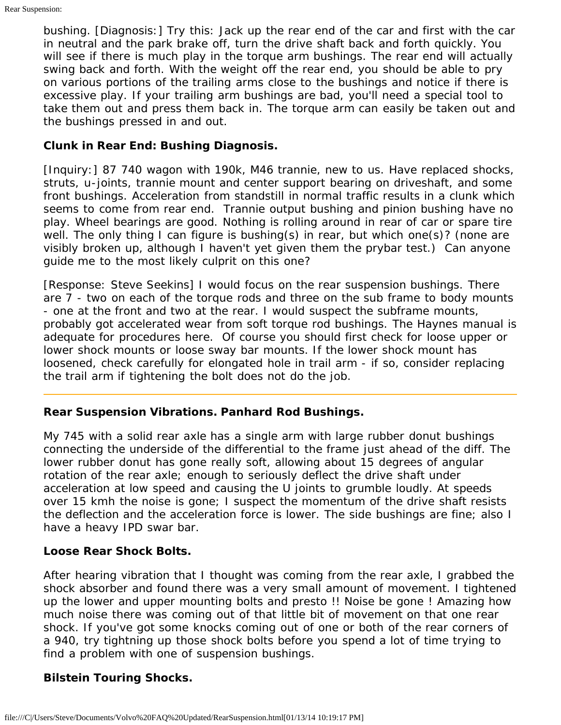bushing. [Diagnosis:] Try this: Jack up the rear end of the car and first with the car in neutral and the park brake off, turn the drive shaft back and forth quickly. You will see if there is much play in the torque arm bushings. The rear end will actually swing back and forth. With the weight off the rear end, you should be able to pry on various portions of the trailing arms close to the bushings and notice if there is excessive play. If your trailing arm bushings are bad, you'll need a special tool to take them out and press them back in. The torque arm can easily be taken out and the bushings pressed in and out.

# **Clunk in Rear End: Bushing Diagnosis.**

[Inquiry:] 87 740 wagon with 190k, M46 trannie, new to us. Have replaced shocks, struts, u-joints, trannie mount and center support bearing on driveshaft, and some front bushings. Acceleration from standstill in normal traffic results in a clunk which seems to come from rear end. Trannie output bushing and pinion bushing have no play. Wheel bearings are good. Nothing is rolling around in rear of car or spare tire well. The only thing I can figure is bushing(s) in rear, but which one(s)? (none are visibly broken up, although I haven't yet given them the prybar test.) Can anyone guide me to the most likely culprit on this one?

[Response: Steve Seekins] I would focus on the rear suspension bushings. There are 7 - two on each of the torque rods and three on the sub frame to body mounts - one at the front and two at the rear. I would suspect the subframe mounts, probably got accelerated wear from soft torque rod bushings. The Haynes manual is adequate for procedures here. Of course you should first check for loose upper or lower shock mounts or loose sway bar mounts. If the lower shock mount has loosened, check carefully for elongated hole in trail arm - if so, consider replacing the trail arm if tightening the bolt does not do the job.

# <span id="page-1-0"></span>**Rear Suspension Vibrations. Panhard Rod Bushings.**

My 745 with a solid rear axle has a single arm with large rubber donut bushings connecting the underside of the differential to the frame just ahead of the diff. The lower rubber donut has gone really soft, allowing about 15 degrees of angular rotation of the rear axle; enough to seriously deflect the drive shaft under acceleration at low speed and causing the U joints to grumble loudly. At speeds over 15 kmh the noise is gone; I suspect the momentum of the drive shaft resists the deflection and the acceleration force is lower. The side bushings are fine; also I have a heavy IPD swar bar.

# **Loose Rear Shock Bolts.**

After hearing vibration that I thought was coming from the rear axle, I grabbed the shock absorber and found there was a very small amount of movement. I tightened up the lower and upper mounting bolts and presto !! Noise be gone ! Amazing how much noise there was coming out of that little bit of movement on that one rear shock. If you've got some knocks coming out of one or both of the rear corners of a 940, try tightning up those shock bolts before you spend a lot of time trying to find a problem with one of suspension bushings.

# **Bilstein Touring Shocks.**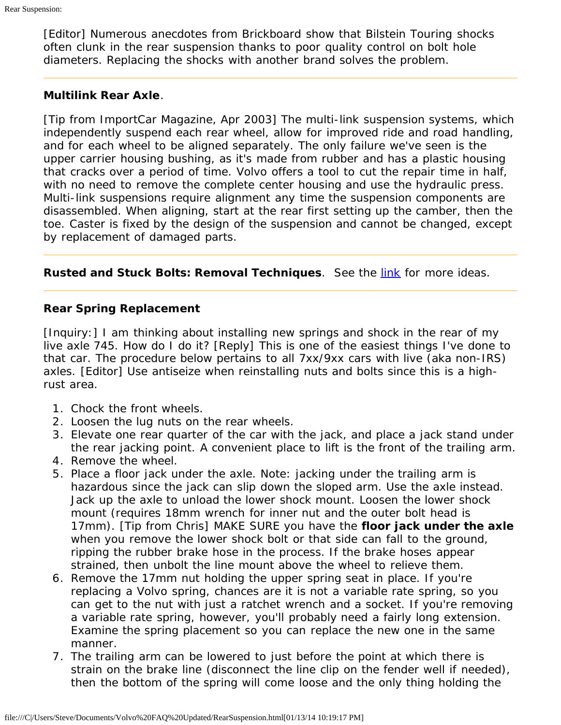[Editor] Numerous anecdotes from Brickboard show that Bilstein Touring shocks often clunk in the rear suspension thanks to poor quality control on bolt hole diameters. Replacing the shocks with another brand solves the problem.

## <span id="page-2-0"></span>**Multilink Rear Axle**.

[Tip from ImportCar Magazine, Apr 2003] The multi-link suspension systems, which independently suspend each rear wheel, allow for improved ride and road handling, and for each wheel to be aligned separately. The only failure we've seen is the upper carrier housing bushing, as it's made from rubber and has a plastic housing that cracks over a period of time. Volvo offers a tool to cut the repair time in half, with no need to remove the complete center housing and use the hydraulic press. Multi-link suspensions require alignment any time the suspension components are disassembled. When aligning, start at the rear first setting up the camber, then the toe. Caster is fixed by the design of the suspension and cannot be changed, except by replacement of damaged parts.

<span id="page-2-1"></span>**Rusted and Stuck Bolts: Removal Techniques**. See the [link](file:///C|/Users/Steve/Documents/Volvo%20FAQ%20Updated/FrontSuspension.html#RustedandStuckBoltsRemovalTechniques) for more ideas.

## <span id="page-2-2"></span>**Rear Spring Replacement**

[Inquiry:] I am thinking about installing new springs and shock in the rear of my live axle 745. How do I do it? [Reply] This is one of the easiest things I've done to that car. The procedure below pertains to all 7xx/9xx cars with live (aka non-IRS) axles. [Editor] Use antiseize when reinstalling nuts and bolts since this is a highrust area.

- 1. Chock the front wheels.
- 2. Loosen the lug nuts on the rear wheels.
- 3. Elevate one rear quarter of the car with the jack, and place a jack stand under the rear jacking point. A convenient place to lift is the front of the trailing arm.
- 4. Remove the wheel.
- 5. Place a floor jack under the axle. Note: jacking under the trailing arm is hazardous since the jack can slip down the sloped arm. Use the axle instead. Jack up the axle to unload the lower shock mount. Loosen the lower shock mount (requires 18mm wrench for inner nut and the outer bolt head is 17mm). [Tip from Chris] MAKE SURE you have the **floor jack under the axle** when you remove the lower shock bolt or that side can fall to the ground, ripping the rubber brake hose in the process. If the brake hoses appear strained, then unbolt the line mount above the wheel to relieve them.
- 6. Remove the 17mm nut holding the upper spring seat in place. If you're replacing a Volvo spring, chances are it is not a variable rate spring, so you can get to the nut with just a ratchet wrench and a socket. If you're removing a variable rate spring, however, you'll probably need a fairly long extension. Examine the spring placement so you can replace the new one in the same manner.
- 7. The trailing arm can be lowered to just before the point at which there is strain on the brake line (disconnect the line clip on the fender well if needed), then the bottom of the spring will come loose and the only thing holding the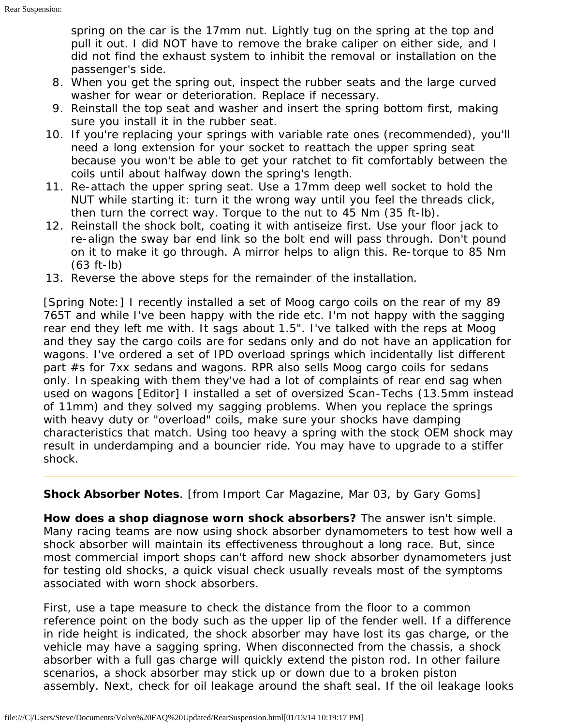spring on the car is the 17mm nut. Lightly tug on the spring at the top and pull it out. I did NOT have to remove the brake caliper on either side, and I did not find the exhaust system to inhibit the removal or installation on the passenger's side.

- 8. When you get the spring out, inspect the rubber seats and the large curved washer for wear or deterioration. Replace if necessary.
- 9. Reinstall the top seat and washer and insert the spring bottom first, making sure you install it in the rubber seat.
- 10. If you're replacing your springs with variable rate ones (recommended), you'll need a long extension for your socket to reattach the upper spring seat because you won't be able to get your ratchet to fit comfortably between the coils until about halfway down the spring's length.
- 11. Re-attach the upper spring seat. Use a 17mm deep well socket to hold the NUT while starting it: turn it the wrong way until you feel the threads click, then turn the correct way. Torque to the nut to 45 Nm (35 ft-lb).
- 12. Reinstall the shock bolt, coating it with antiseize first. Use your floor jack to re-align the sway bar end link so the bolt end will pass through. Don't pound on it to make it go through. A mirror helps to align this. Re-torque to 85 Nm (63 ft-lb)
- 13. Reverse the above steps for the remainder of the installation.

[Spring Note:] I recently installed a set of Moog cargo coils on the rear of my 89 765T and while I've been happy with the ride etc. I'm not happy with the sagging rear end they left me with. It sags about 1.5". I've talked with the reps at Moog and they say the cargo coils are for sedans only and do not have an application for wagons. I've ordered a set of IPD overload springs which incidentally list different part #s for 7xx sedans and wagons. RPR also sells Moog cargo coils for sedans only. In speaking with them they've had a lot of complaints of rear end sag when used on wagons [Editor] I installed a set of oversized Scan-Techs (13.5mm instead of 11mm) and they solved my sagging problems. When you replace the springs with heavy duty or "overload" coils, make sure your shocks have damping characteristics that match. Using too heavy a spring with the stock OEM shock may result in underdamping and a bouncier ride. You may have to upgrade to a stiffer shock.

<span id="page-3-0"></span>**Shock Absorber Notes**. [from Import Car Magazine, Mar 03, by Gary Goms]

**How does a shop diagnose worn shock absorbers?** The answer isn't simple. Many racing teams are now using shock absorber dynamometers to test how well a shock absorber will maintain its effectiveness throughout a long race. But, since most commercial import shops can't afford new shock absorber dynamometers just for testing old shocks, a quick visual check usually reveals most of the symptoms associated with worn shock absorbers.

First, use a tape measure to check the distance from the floor to a common reference point on the body such as the upper lip of the fender well. If a difference in ride height is indicated, the shock absorber may have lost its gas charge, or the vehicle may have a sagging spring. When disconnected from the chassis, a shock absorber with a full gas charge will quickly extend the piston rod. In other failure scenarios, a shock absorber may stick up or down due to a broken piston assembly. Next, check for oil leakage around the shaft seal. If the oil leakage looks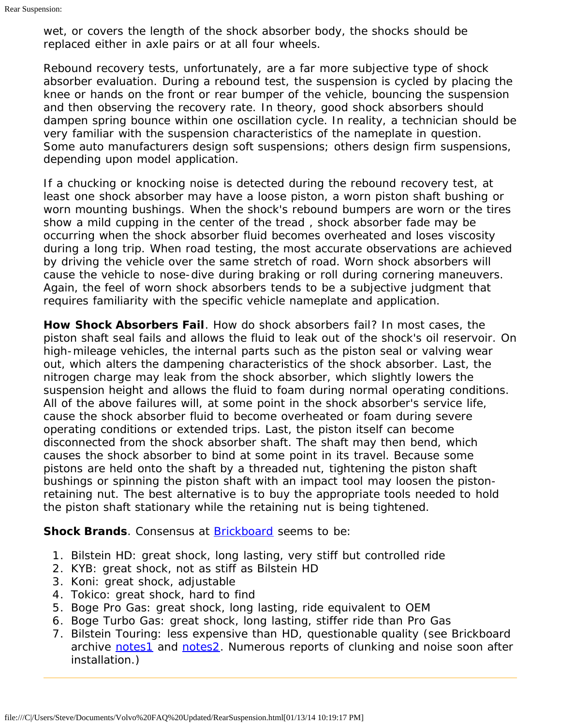wet, or covers the length of the shock absorber body, the shocks should be replaced either in axle pairs or at all four wheels.

Rebound recovery tests, unfortunately, are a far more subjective type of shock absorber evaluation. During a rebound test, the suspension is cycled by placing the knee or hands on the front or rear bumper of the vehicle, bouncing the suspension and then observing the recovery rate. In theory, good shock absorbers should dampen spring bounce within one oscillation cycle. In reality, a technician should be very familiar with the suspension characteristics of the nameplate in question. Some auto manufacturers design soft suspensions; others design firm suspensions, depending upon model application.

If a chucking or knocking noise is detected during the rebound recovery test, at least one shock absorber may have a loose piston, a worn piston shaft bushing or worn mounting bushings. When the shock's rebound bumpers are worn or the tires show a mild cupping in the center of the tread , shock absorber fade may be occurring when the shock absorber fluid becomes overheated and loses viscosity during a long trip. When road testing, the most accurate observations are achieved by driving the vehicle over the same stretch of road. Worn shock absorbers will cause the vehicle to nose-dive during braking or roll during cornering maneuvers. Again, the feel of worn shock absorbers tends to be a subjective judgment that requires familiarity with the specific vehicle nameplate and application.

**How Shock Absorbers Fail**. How do shock absorbers fail? In most cases, the piston shaft seal fails and allows the fluid to leak out of the shock's oil reservoir. On high-mileage vehicles, the internal parts such as the piston seal or valving wear out, which alters the dampening characteristics of the shock absorber. Last, the nitrogen charge may leak from the shock absorber, which slightly lowers the suspension height and allows the fluid to foam during normal operating conditions. All of the above failures will, at some point in the shock absorber's service life, cause the shock absorber fluid to become overheated or foam during severe operating conditions or extended trips. Last, the piston itself can become disconnected from the shock absorber shaft. The shaft may then bend, which causes the shock absorber to bind at some point in its travel. Because some pistons are held onto the shaft by a threaded nut, tightening the piston shaft bushings or spinning the piston shaft with an impact tool may loosen the pistonretaining nut. The best alternative is to buy the appropriate tools needed to hold the piston shaft stationary while the retaining nut is being tightened.

**Shock Brands**. Consensus at **Brickboard** seems to be:

- 1. Bilstein HD: great shock, long lasting, very stiff but controlled ride
- 2. KYB: great shock, not as stiff as Bilstein HD
- 3. Koni: great shock, adjustable
- 4. Tokico: great shock, hard to find
- 5. Boge Pro Gas: great shock, long lasting, ride equivalent to OEM
- 6. Boge Turbo Gas: great shock, long lasting, stiffer ride than Pro Gas
- 7. Bilstein Touring: less expensive than HD, questionable quality (see Brickboard archive [notes1](http://www.brickboard.com/RWD/index.htm?id=935307) and [notes2](http://www.brickboard.com/RWD/index.htm?id=1120768). Numerous reports of clunking and noise soon after installation.)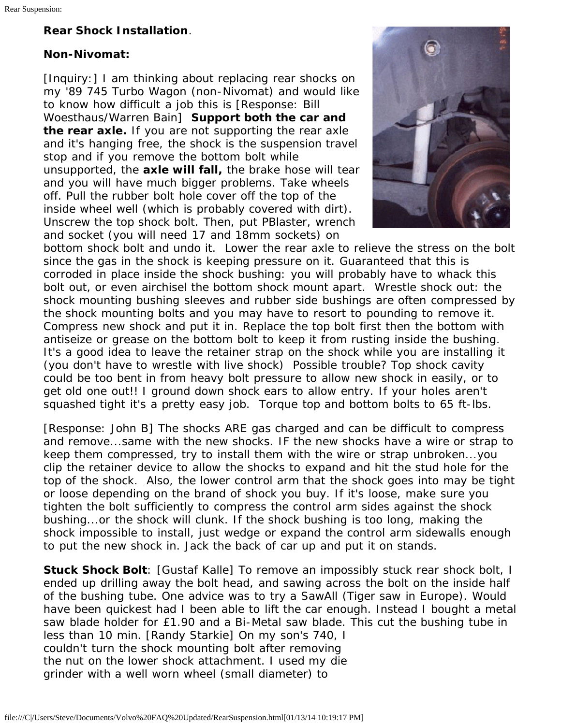# <span id="page-5-0"></span>**Rear Shock Installation**.

# **Non-Nivomat:**

[Inquiry:] I am thinking about replacing rear shocks on my '89 745 Turbo Wagon (non-Nivomat) and would like to know how difficult a job this is [Response: Bill Woesthaus/Warren Bain] **Support both the car and the rear axle.** If you are not supporting the rear axle and it's hanging free, the shock is the suspension travel stop and if you remove the bottom bolt while unsupported, the **axle will fall,** the brake hose will tear and you will have much bigger problems. Take wheels off. Pull the rubber bolt hole cover off the top of the inside wheel well (which is probably covered with dirt). Unscrew the top shock bolt. Then, put PBlaster, wrench and socket (you will need 17 and 18mm sockets) on



bottom shock bolt and undo it. Lower the rear axle to relieve the stress on the bolt since the gas in the shock is keeping pressure on it. Guaranteed that this is corroded in place inside the shock bushing: you will probably have to whack this bolt out, or even airchisel the bottom shock mount apart. Wrestle shock out: the shock mounting bushing sleeves and rubber side bushings are often compressed by the shock mounting bolts and you may have to resort to pounding to remove it. Compress new shock and put it in. Replace the top bolt first then the bottom with antiseize or grease on the bottom bolt to keep it from rusting inside the bushing. It's a good idea to leave the retainer strap on the shock while you are installing it (you don't have to wrestle with live shock) Possible trouble? Top shock cavity could be too bent in from heavy bolt pressure to allow new shock in easily, or to get old one out!! I ground down shock ears to allow entry. If your holes aren't squashed tight it's a pretty easy job. Torque top and bottom bolts to 65 ft-lbs.

[Response: John B] The shocks ARE gas charged and can be difficult to compress and remove...same with the new shocks. IF the new shocks have a wire or strap to keep them compressed, try to install them with the wire or strap unbroken...you clip the retainer device to allow the shocks to expand and hit the stud hole for the top of the shock. Also, the lower control arm that the shock goes into may be tight or loose depending on the brand of shock you buy. If it's loose, make sure you tighten the bolt sufficiently to compress the control arm sides against the shock bushing...or the shock will clunk. If the shock bushing is too long, making the shock impossible to install, just wedge or expand the control arm sidewalls enough to put the new shock in. Jack the back of car up and put it on stands.

**Stuck Shock Bolt**: [Gustaf Kalle] To remove an impossibly stuck rear shock bolt, I ended up drilling away the bolt head, and sawing across the bolt on the inside half of the bushing tube. One advice was to try a SawAll (Tiger saw in Europe). Would have been quickest had I been able to lift the car enough. Instead I bought a metal saw blade holder for £1.90 and a Bi-Metal saw blade. This cut the bushing tube in less than 10 min. [Randy Starkie] On my son's 740, I couldn't turn the shock mounting bolt after removing the nut on the lower shock attachment. I used my die grinder with a well worn wheel (small diameter) to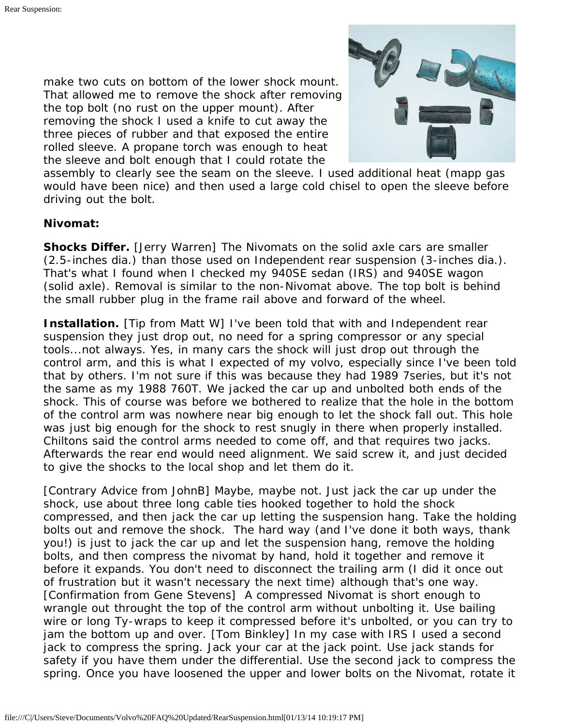make two cuts on bottom of the lower shock mount. That allowed me to remove the shock after removing the top bolt (no rust on the upper mount). After removing the shock I used a knife to cut away the three pieces of rubber and that exposed the entire rolled sleeve. A propane torch was enough to heat the sleeve and bolt enough that I could rotate the



assembly to clearly see the seam on the sleeve. I used additional heat (mapp gas would have been nice) and then used a large cold chisel to open the sleeve before driving out the bolt.

### **Nivomat:**

**Shocks Differ.** [Jerry Warren] The Nivomats on the solid axle cars are smaller (2.5-inches dia.) than those used on Independent rear suspension (3-inches dia.). That's what I found when I checked my 940SE sedan (IRS) and 940SE wagon (solid axle). Removal is similar to the non-Nivomat above. The top bolt is behind the small rubber plug in the frame rail above and forward of the wheel.

**Installation.** [Tip from Matt W] I've been told that with and Independent rear suspension they just drop out, no need for a spring compressor or any special tools...not always. Yes, in many cars the shock will just drop out through the control arm, and this is what I expected of my volvo, especially since I've been told that by others. I'm not sure if this was because they had 1989 7series, but it's not the same as my 1988 760T. We jacked the car up and unbolted both ends of the shock. This of course was before we bothered to realize that the hole in the bottom of the control arm was nowhere near big enough to let the shock fall out. This hole was just big enough for the shock to rest snugly in there when properly installed. Chiltons said the control arms needed to come off, and that requires two jacks. Afterwards the rear end would need alignment. We said screw it, and just decided to give the shocks to the local shop and let them do it.

[Contrary Advice from JohnB] Maybe, maybe not. Just jack the car up under the shock, use about three long cable ties hooked together to hold the shock compressed, and then jack the car up letting the suspension hang. Take the holding bolts out and remove the shock. The hard way (and I've done it both ways, thank you!) is just to jack the car up and let the suspension hang, remove the holding bolts, and then compress the nivomat by hand, hold it together and remove it before it expands. You don't need to disconnect the trailing arm (I did it once out of frustration but it wasn't necessary the next time) although that's one way. [Confirmation from Gene Stevens] A compressed Nivomat is short enough to wrangle out throught the top of the control arm without unbolting it. Use bailing wire or long Ty-wraps to keep it compressed before it's unbolted, or you can try to jam the bottom up and over. [Tom Binkley] In my case with IRS I used a second jack to compress the spring. Jack your car at the jack point. Use jack stands for safety if you have them under the differential. Use the second jack to compress the spring. Once you have loosened the upper and lower bolts on the Nivomat, rotate it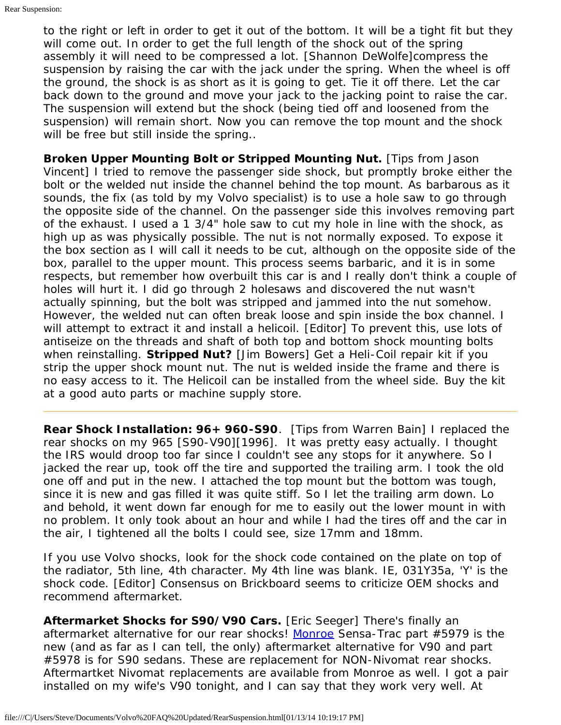to the right or left in order to get it out of the bottom. It will be a tight fit but they will come out. In order to get the full length of the shock out of the spring assembly it will need to be compressed a lot. [Shannon DeWolfe]compress the suspension by raising the car with the jack under the spring. When the wheel is off the ground, the shock is as short as it is going to get. Tie it off there. Let the car back down to the ground and move your jack to the jacking point to raise the car. The suspension will extend but the shock (being tied off and loosened from the suspension) will remain short. Now you can remove the top mount and the shock will be free but still inside the spring..

**Broken Upper Mounting Bolt or Stripped Mounting Nut.** [Tips from Jason Vincent] I tried to remove the passenger side shock, but promptly broke either the bolt or the welded nut inside the channel behind the top mount. As barbarous as it sounds, the fix (as told by my Volvo specialist) is to use a hole saw to go through the opposite side of the channel. On the passenger side this involves removing part of the exhaust. I used a 1 3/4" hole saw to cut my hole in line with the shock, as high up as was physically possible. The nut is not normally exposed. To expose it the box section as I will call it needs to be cut, although on the opposite side of the box, parallel to the upper mount. This process seems barbaric, and it is in some respects, but remember how overbuilt this car is and I really don't think a couple of holes will hurt it. I did go through 2 holesaws and discovered the nut wasn't actually spinning, but the bolt was stripped and jammed into the nut somehow. However, the welded nut can often break loose and spin inside the box channel. I will attempt to extract it and install a helicoil. [Editor] To prevent this, use lots of antiseize on the threads and shaft of both top and bottom shock mounting bolts when reinstalling. **Stripped Nut?** [Jim Bowers] Get a Heli-Coil repair kit if you strip the upper shock mount nut. The nut is welded inside the frame and there is no easy access to it. The Helicoil can be installed from the wheel side. Buy the kit at a good auto parts or machine supply store.

<span id="page-7-0"></span>**Rear Shock Installation: 96+ 960-S90**. [Tips from Warren Bain] I replaced the rear shocks on my 965 [S90-V90][1996]. It was pretty easy actually. I thought the IRS would droop too far since I couldn't see any stops for it anywhere. So I jacked the rear up, took off the tire and supported the trailing arm. I took the old one off and put in the new. I attached the top mount but the bottom was tough, since it is new and gas filled it was quite stiff. So I let the trailing arm down. Lo and behold, it went down far enough for me to easily out the lower mount in with no problem. It only took about an hour and while I had the tires off and the car in the air, I tightened all the bolts I could see, size 17mm and 18mm.

If you use Volvo shocks, look for the shock code contained on the plate on top of the radiator, 5th line, 4th character. My 4th line was blank. IE, 031Y35a, 'Y' is the shock code. [Editor] Consensus on Brickboard seems to criticize OEM shocks and recommend aftermarket.

**Aftermarket Shocks for S90/V90 Cars.** [Eric Seeger] There's finally an aftermarket alternative for our rear shocks! [Monroe](http://www.monroe.com/) Sensa-Trac part #5979 is the new (and as far as I can tell, the only) aftermarket alternative for V90 and part #5978 is for S90 sedans. These are replacement for NON-Nivomat rear shocks. Aftermartket Nivomat replacements are available from Monroe as well. I got a pair installed on my wife's V90 tonight, and I can say that they work very well. At